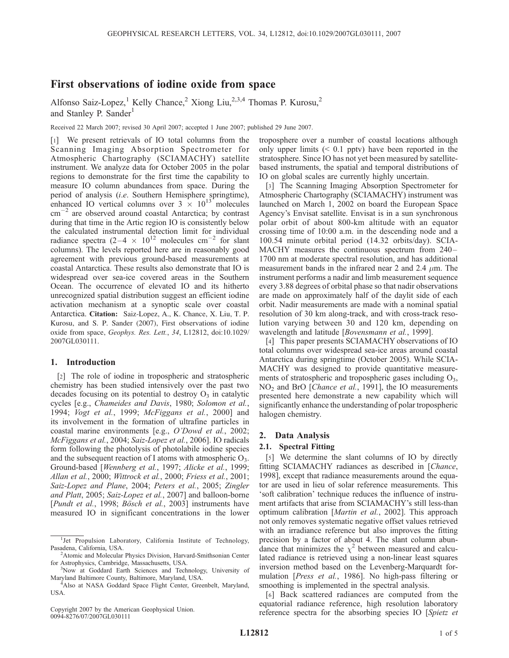# First observations of iodine oxide from space

Alfonso Saiz-Lopez,<sup>1</sup> Kelly Chance,<sup>2</sup> Xiong Liu,<sup>2,3,4</sup> Thomas P. Kurosu,<sup>2</sup> and Stanley P. Sander<sup>1</sup>

Received 22 March 2007; revised 30 April 2007; accepted 1 June 2007; published 29 June 2007.

[1] We present retrievals of IO total columns from the Scanning Imaging Absorption Spectrometer for Atmospheric Chartography (SCIAMACHY) satellite instrument. We analyze data for October 2005 in the polar regions to demonstrate for the first time the capability to measure IO column abundances from space. During the period of analysis (i.e. Southern Hemisphere springtime), enhanced IO vertical columns over  $3 \times 10^{13}$  molecules cm<sup>-2</sup> are observed around coastal Antarctica; by contrast during that time in the Artic region IO is consistently below the calculated instrumental detection limit for individual radiance spectra  $(2-4 \times 10^{12} \text{ molecules cm}^{-2} \text{ for slant})$ columns). The levels reported here are in reasonably good agreement with previous ground-based measurements at coastal Antarctica. These results also demonstrate that IO is widespread over sea-ice covered areas in the Southern Ocean. The occurrence of elevated IO and its hitherto unrecognized spatial distribution suggest an efficient iodine activation mechanism at a synoptic scale over coastal Antarctica. Citation: Saiz-Lopez, A., K. Chance, X. Liu, T. P. Kurosu, and S. P. Sander (2007), First observations of iodine oxide from space, Geophys. Res. Lett., 34, L12812, doi:10.1029/ 2007GL030111.

## 1. Introduction

[2] The role of iodine in tropospheric and stratospheric chemistry has been studied intensively over the past two decades focusing on its potential to destroy  $O_3$  in catalytic cycles [e.g., Chameides and Davis, 1980; Solomon et al., 1994; Vogt et al., 1999; McFiggans et al., 2000] and its involvement in the formation of ultrafine particles in coastal marine environments [e.g., O'Dowd et al., 2002; McFiggans et al., 2004; Saiz-Lopez et al., 2006]. IO radicals form following the photolysis of photolabile iodine species and the subsequent reaction of I atoms with atmospheric  $O_3$ . Ground-based [Wennberg et al., 1997; Alicke et al., 1999; Allan et al., 2000; Wittrock et al., 2000; Friess et al., 2001; Saiz-Lopez and Plane, 2004; Peters et al., 2005; Zingler and Platt, 2005; Saiz-Lopez et al., 2007] and balloon-borne [Pundt et al., 1998; Bösch et al., 2003] instruments have measured IO in significant concentrations in the lower

Copyright 2007 by the American Geophysical Union. 0094-8276/07/2007GL030111

troposphere over a number of coastal locations although only upper limits  $( $0.1$  pptv) have been reported in the$ stratosphere. Since IO has not yet been measured by satellitebased instruments, the spatial and temporal distributions of IO on global scales are currently highly uncertain.

[3] The Scanning Imaging Absorption Spectrometer for Atmospheric Chartography (SCIAMACHY) instrument was launched on March 1, 2002 on board the European Space Agency's Envisat satellite. Envisat is in a sun synchronous polar orbit of about 800-km altitude with an equator crossing time of 10:00 a.m. in the descending node and a 100.54 minute orbital period (14.32 orbits/day). SCIA-MACHY measures the continuous spectrum from 240– 1700 nm at moderate spectral resolution, and has additional measurement bands in the infrared near 2 and 2.4  $\mu$ m. The instrument performs a nadir and limb measurement sequence every 3.88 degrees of orbital phase so that nadir observations are made on approximately half of the daylit side of each orbit. Nadir measurements are made with a nominal spatial resolution of 30 km along-track, and with cross-track resolution varying between 30 and 120 km, depending on wavelength and latitude [*Bovensmann et al.*, 1999].

[4] This paper presents SCIAMACHY observations of IO total columns over widespread sea-ice areas around coastal Antarctica during springtime (October 2005). While SCIA-MACHY was designed to provide quantitative measurements of stratospheric and tropospheric gases including O<sub>3</sub>, NO<sub>2</sub> and BrO [*Chance et al.*, 1991], the IO measurements presented here demonstrate a new capability which will significantly enhance the understanding of polar tropospheric halogen chemistry.

## 2. Data Analysis

#### 2.1. Spectral Fitting

[5] We determine the slant columns of IO by directly fitting SCIAMACHY radiances as described in [Chance, 1998], except that radiance measurements around the equator are used in lieu of solar reference measurements. This 'soft calibration' technique reduces the influence of instrument artifacts that arise from SCIAMACHY's still less-than optimum calibration [Martin et al., 2002]. This approach not only removes systematic negative offset values retrieved with an irradiance reference but also improves the fitting precision by a factor of about 4. The slant column abundance that minimizes the  $\chi^2$  between measured and calculated radiance is retrieved using a non-linear least squares inversion method based on the Levenberg-Marquardt formulation [*Press et al.*, 1986]. No high-pass filtering or smoothing is implemented in the spectral analysis.

[6] Back scattered radiances are computed from the equatorial radiance reference, high resolution laboratory reference spectra for the absorbing species IO [Spietz et

<sup>&</sup>lt;sup>1</sup>Jet Propulsion Laboratory, California Institute of Technology, Pasadena, California, USA. <sup>2</sup>

<sup>&</sup>lt;sup>2</sup> Atomic and Molecular Physics Division, Harvard-Smithsonian Center for Astrophysics, Cambridge, Massachusetts, USA. <sup>3</sup>

<sup>&</sup>lt;sup>3</sup>Now at Goddard Earth Sciences and Technology, University of Maryland Baltimore County, Baltimore, Maryland, USA. <sup>4</sup> Also at NASA Goddard Space Flight Center, Greenbelt, Maryland,

USA.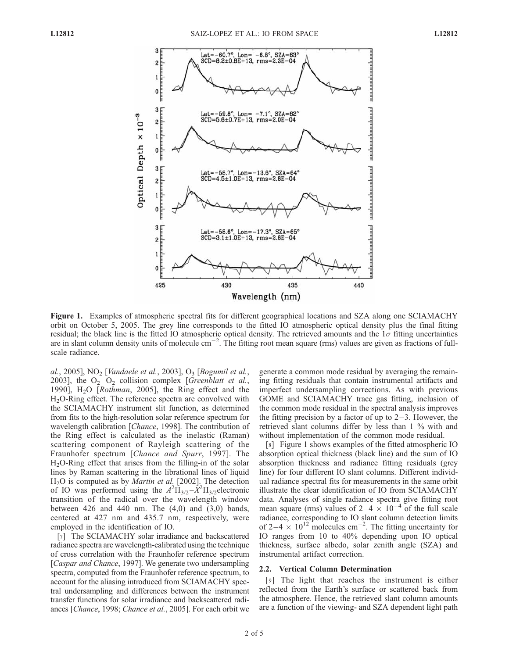

Figure 1. Examples of atmospheric spectral fits for different geographical locations and SZA along one SCIAMACHY orbit on October 5, 2005. The grey line corresponds to the fitted IO atmospheric optical density plus the final fitting residual; the black line is the fitted IO atmospheric optical density. The retrieved amounts and the  $1\sigma$  fitting uncertainties are in slant column density units of molecule  $cm^{-2}$ . The fitting root mean square (rms) values are given as fractions of fullscale radiance.

al., 2005], NO<sub>2</sub> [Vandaele et al., 2003], O<sub>3</sub> [Bogumil et al., 2003], the  $O_2-O_2$  collision complex [*Greenblatt et al.*, 1990],  $H<sub>2</sub>O$  [*Rothman*, 2005], the Ring effect and the H<sub>2</sub>O-Ring effect. The reference spectra are convolved with the SCIAMACHY instrument slit function, as determined from fits to the high-resolution solar reference spectrum for wavelength calibration [*Chance*, 1998]. The contribution of the Ring effect is calculated as the inelastic (Raman) scattering component of Rayleigh scattering of the Fraunhofer spectrum [Chance and Spurr, 1997]. The  $H<sub>2</sub>O-Ring effect that arises from the filling-in of the solar$ lines by Raman scattering in the librational lines of liquid H<sub>2</sub>O is computed as by *Martin et al.* [2002]. The detection of IO was performed using the  $A^2 \overline{\Pi}_{3/2} - \overline{X}^2 \Pi_{3/2}$ electronic transition of the radical over the wavelength window between 426 and 440 nm. The  $(4,0)$  and  $(3,0)$  bands, centered at 427 nm and 435.7 nm, respectively, were employed in the identification of IO.

[7] The SCIAMACHY solar irradiance and backscattered radiance spectra are wavelength-calibrated using the technique of cross correlation with the Fraunhofer reference spectrum [Caspar and Chance, 1997]. We generate two undersampling spectra, computed from the Fraunhofer reference spectrum, to account for the aliasing introduced from SCIAMACHY spectral undersampling and differences between the instrument transfer functions for solar irradiance and backscattered radiances [Chance, 1998; Chance et al., 2005]. For each orbit we

generate a common mode residual by averaging the remaining fitting residuals that contain instrumental artifacts and imperfect undersampling corrections. As with previous GOME and SCIAMACHY trace gas fitting, inclusion of the common mode residual in the spectral analysis improves the fitting precision by a factor of up to  $2-3$ . However, the retrieved slant columns differ by less than 1 % with and without implementation of the common mode residual.

[8] Figure 1 shows examples of the fitted atmospheric IO absorption optical thickness (black line) and the sum of IO absorption thickness and radiance fitting residuals (grey line) for four different IO slant columns. Different individual radiance spectral fits for measurements in the same orbit illustrate the clear identification of IO from SCIAMACHY data. Analyses of single radiance spectra give fitting root mean square (rms) values of  $2-4 \times 10^{-4}$  of the full scale radiance, corresponding to IO slant column detection limits of 2–4  $\times$  10<sup>12</sup> molecules cm<sup>-2</sup>. The fitting uncertainty for IO ranges from 10 to 40% depending upon IO optical thickness, surface albedo, solar zenith angle (SZA) and instrumental artifact correction.

#### 2.2. Vertical Column Determination

[9] The light that reaches the instrument is either reflected from the Earth's surface or scattered back from the atmosphere. Hence, the retrieved slant column amounts are a function of the viewing- and SZA dependent light path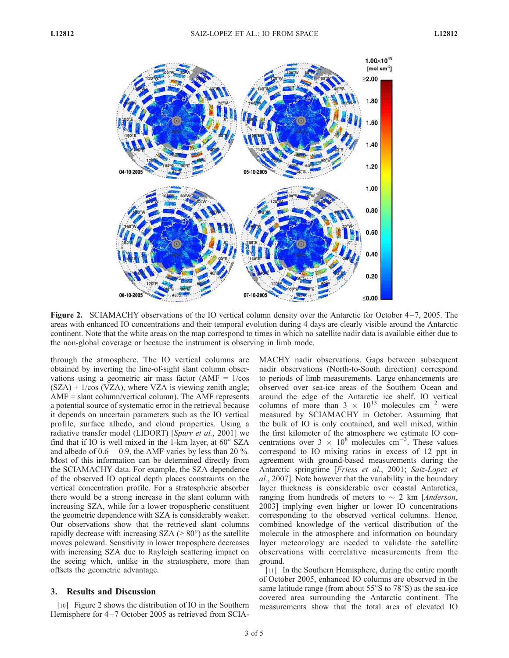

Figure 2. SCIAMACHY observations of the IO vertical column density over the Antarctic for October  $4-7$ , 2005. The areas with enhanced IO concentrations and their temporal evolution during 4 days are clearly visible around the Antarctic continent. Note that the white areas on the map correspond to times in which no satellite nadir data is available either due to the non-global coverage or because the instrument is observing in limb mode.

through the atmosphere. The IO vertical columns are obtained by inverting the line-of-sight slant column observations using a geometric air mass factor  $(AMF = 1/cos$  $(SZA) + 1/\cos(VZA)$ , where VZA is viewing zenith angle;  $AMF = slant column/vertical column$ . The AMF represents a potential source of systematic error in the retrieval because it depends on uncertain parameters such as the IO vertical profile, surface albedo, and cloud properties. Using a radiative transfer model (LIDORT) [Spurr et al., 2001] we find that if IO is well mixed in the 1-km layer, at  $60^\circ$  SZA and albedo of  $0.6 - 0.9$ , the AMF varies by less than 20 %. Most of this information can be determined directly from the SCIAMACHY data. For example, the SZA dependence of the observed IO optical depth places constraints on the vertical concentration profile. For a stratospheric absorber there would be a strong increase in the slant column with increasing SZA, while for a lower tropospheric constituent the geometric dependence with SZA is considerably weaker. Our observations show that the retrieved slant columns rapidly decrease with increasing  $SZA$  ( $> 80^\circ$ ) as the satellite moves poleward. Sensitivity in lower troposphere decreases with increasing SZA due to Rayleigh scattering impact on the seeing which, unlike in the stratosphere, more than offsets the geometric advantage.

## 3. Results and Discussion

[10] Figure 2 shows the distribution of IO in the Southern Hemisphere for 4–7 October 2005 as retrieved from SCIA- MACHY nadir observations. Gaps between subsequent nadir observations (North-to-South direction) correspond to periods of limb measurements. Large enhancements are observed over sea-ice areas of the Southern Ocean and around the edge of the Antarctic ice shelf. IO vertical columns of more than  $3 \times 10^{13}$  molecules cm<sup>-2</sup> were measured by SCIAMACHY in October. Assuming that the bulk of IO is only contained, and well mixed, within the first kilometer of the atmosphere we estimate IO concentrations over  $3 \times 10^8$  molecules cm<sup>-3</sup>. These values correspond to IO mixing ratios in excess of 12 ppt in agreement with ground-based measurements during the Antarctic springtime [Friess et al., 2001; Saiz-Lopez et al., 2007]. Note however that the variability in the boundary layer thickness is considerable over coastal Antarctica, ranging from hundreds of meters to  $\sim$  2 km [*Anderson*, 2003] implying even higher or lower IO concentrations corresponding to the observed vertical columns. Hence, combined knowledge of the vertical distribution of the molecule in the atmosphere and information on boundary layer meteorology are needed to validate the satellite observations with correlative measurements from the ground.

[11] In the Southern Hemisphere, during the entire month of October 2005, enhanced IO columns are observed in the same latitude range (from about  $55^{\circ}$ S to  $78^{\circ}$ S) as the sea-ice covered area surrounding the Antarctic continent. The measurements show that the total area of elevated IO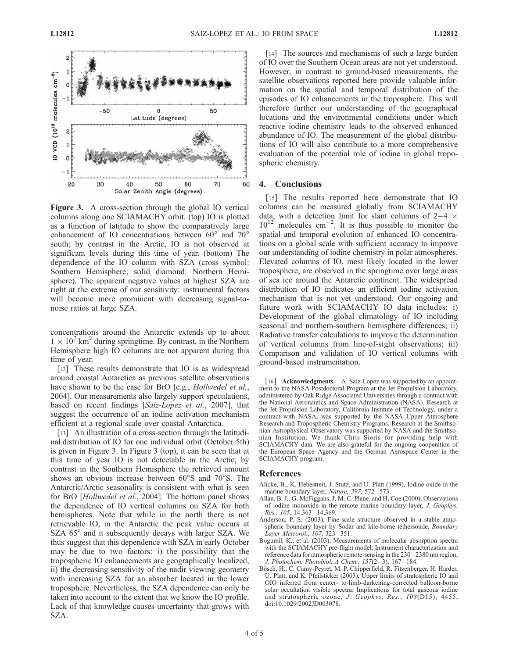

Figure 3. A cross-section through the global IO vertical columns along one SCIAMACHY orbit. (top) IO is plotted as a function of latitude to show the comparatively large enhancement of IO concentrations between  $60^{\circ}$  and  $70^{\circ}$ south; by contrast in the Arctic, IO is not observed at significant levels during this time of year. (bottom) The dependence of the IO column with SZA (cross symbol: Southern Hemisphere; solid diamond: Northern Hemisphere). The apparent negative values at highest SZA are right at the extreme of our sensitivity: instrumental factors will become more prominent with decreasing signal-tonoise ratios at large SZA.

concentrations around the Antarctic extends up to about  $1 \times 10^{7}$  km<sup>2</sup> during springtime. By contrast, in the Northern Hemisphere high IO columns are not apparent during this time of year.

[12] These results demonstrate that IO is as widespread around coastal Antarctica as previous satellite observations have shown to be the case for BrO [e.g., *Hollwedel et al.*, 2004]. Our measurements also largely support speculations, based on recent findings [Saiz-Lopez et al., 2007], that suggest the occurrence of an iodine activation mechanism efficient at a regional scale over coastal Antarctica.

[13] An illustration of a cross-section through the latitudinal distribution of IO for one individual orbit (October 5th) is given in Figure 3. In Figure 3 (top), it can be seen that at this time of year IO is not detectable in the Arctic; by contrast in the Southern Hemisphere the retrieved amount shows an obvious increase between  $60^{\circ}$ S and  $70^{\circ}$ S. The Antarctic/Arctic seasonality is consistent with what is seen for BrO [Hollwedel et al., 2004]. The bottom panel shows the dependence of IO vertical columns on SZA for both hemispheres. Note that while in the north there is not retrievable IO, in the Antarctic the peak value occurs at SZA  $65^\circ$  and it subsequently decays with larger SZA. We thus suggest that this dependence with SZA in early October may be due to two factors: i) the possibility that the tropospheric IO enhancements are geographically localized, ii) the decreasing sensitivity of the nadir viewing geometry with increasing SZA for an absorber located in the lower troposphere. Nevertheless, the SZA dependence can only be taken into account to the extent that we know the IO profile. Lack of that knowledge causes uncertainty that grows with SZA.

[14] The sources and mechanisms of such a large burden of IO over the Southern Ocean areas are not yet understood. However, in contrast to ground-based measurements, the satellite observations reported here provide valuable information on the spatial and temporal distribution of the episodes of IO enhancements in the troposphere. This will therefore further our understanding of the geographical locations and the environmental conditions under which reactive iodine chemistry leads to the observed enhanced abundance of IO. The measurement of the global distributions of IO will also contribute to a more comprehensive evaluation of the potential role of iodine in global tropospheric chemistry.

## 4. Conclusions

[15] The results reported here demonstrate that IO columns can be measured globally from SCIAMACHY data, with a detection limit for slant columns of  $2-4 \times$  $10^{12}$  molecules cm<sup>-2</sup>. It is thus possible to monitor the spatial and temporal evolution of enhanced IO concentrations on a global scale with sufficient accuracy to improve our understanding of iodine chemistry in polar atmospheres. Elevated columns of IO, most likely located in the lower troposphere, are observed in the springtime over large areas of sea ice around the Antarctic continent. The widespread distribution of IO indicates an efficient iodine activation mechanism that is not yet understood. Our ongoing and future work with SCIAMACHY IO data includes: i) Development of the global climatology of IO including seasonal and northern-southern hemisphere differences; ii) Radiative transfer calculations to improve the determination of vertical columns from line-of-sight observations; iii) Comparison and validation of IO vertical columns with ground-based instrumentation.

[16] **Acknowledgments.** A. Saiz-Lopez was supported by an appointment to the NASA Postdoctoral Program at the Jet Propulsion Laboratory, administered by Oak Ridge Associated Universities through a contract with the National Aeronautics and Space Administration (NASA). Research at the Jet Propulsion Laboratory, California Institute of Technology, under a contract with NASA, was supported by the NASA Upper Atmosphere Research and Tropospheric Chemistry Programs. Research at the Smithsonian Astrophysical Observatory was supported by NASA and the Smithsonian Institution. We thank Chris Sioris for providing help with SCIAMACHY data. We are also grateful for the ongoing cooperation of the European Space Agency and the German Aerospace Center in the SCIAMACHY program.

# References

- Alicke, B., K. Hebestreit, J. Stutz, and U. Platt (1999), Iodine oxide in the marine boundary layer, Nature, 397, 572-573.
- Allan, B. J., G. McFiggans, J. M. C. Plane, and H. Coe (2000), Observations of iodine monoxide in the remote marine boundary layer, J. Geophys. Res., 105, 14,363-14,369.
- Anderson, P. S. (2003), Fine-scale structure observed in a stable atmospheric boundary layer by Sodar and kite-borne tethersonde, Boundary Layer Meteorol., 107, 323 – 351.
- Bogumil, K., et al. (2003), Measurements of molecular absorption spectra with the SCIAMACHY pre-flight model: Instrument characterization and reference data for atmospheric remote-sensing in the 230 – 2380 nm region, J. Photochem. Photobiol. A Chem., 157(2 – 3), 167 – 184.
- Bösch, H., C. Camy-Peyret, M. P. Chipperfield, R. Fitzenberger, H. Harder, U. Platt, and K. Pfeilsticker (2003), Upper limits of stratospheric IO and OIO inferred from center- to-limb-darkening-corrected balloon-borne solar occultation visible spectra: Implications for total gaseous iodine and stratospheric ozone, J. Geophys. Res., 108(D15), 4455, doi:10.1029/2002JD003078.